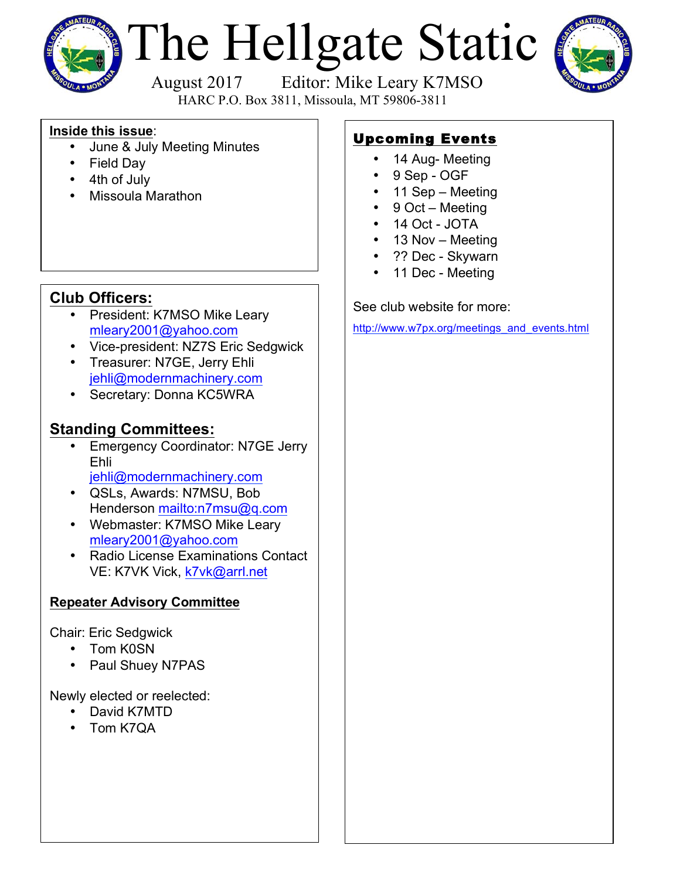

# The Hellgate Static



 August 2017 Editor: Mike Leary K7MSO HARC P.O. Box 3811, Missoula, MT 59806-3811

#### **Inside this issue**:

- June & July Meeting Minutes
- Field Day
- 4th of July
- Missoula Marathon

## **Club Officers:**

- President: K7MSO Mike Leary mleary2001@yahoo.com
- Vice-president: NZ7S Eric Sedgwick
- Treasurer: N7GE, Jerry Ehli jehli@modernmachinery.com
- Secretary: Donna KC5WRA

## **Standing Committees:**

- Emergency Coordinator: N7GE Jerry Ehli jehli@modernmachinery.com
- QSLs, Awards: N7MSU, Bob Henderson mailto:n7msu@q.com
- Webmaster: K7MSO Mike Leary mleary2001@yahoo.com
- Radio License Examinations Contact VE: K7VK Vick, k7vk@arrl.net

### **Repeater Advisory Committee**

Chair: Eric Sedgwick

- Tom K0SN
- Paul Shuey N7PAS

Newly elected or reelected:

- David K7MTD
- Tom K7QA

## Upcoming Events

- 14 Aug- Meeting
- 9 Sep OGF
- 11 Sep Meeting
- 9 Oct Meeting
- 14 Oct JOTA
- 13 Nov Meeting
- ?? Dec Skywarn
- 11 Dec Meeting

See club website for more:

http://www.w7px.org/meetings\_and\_events.html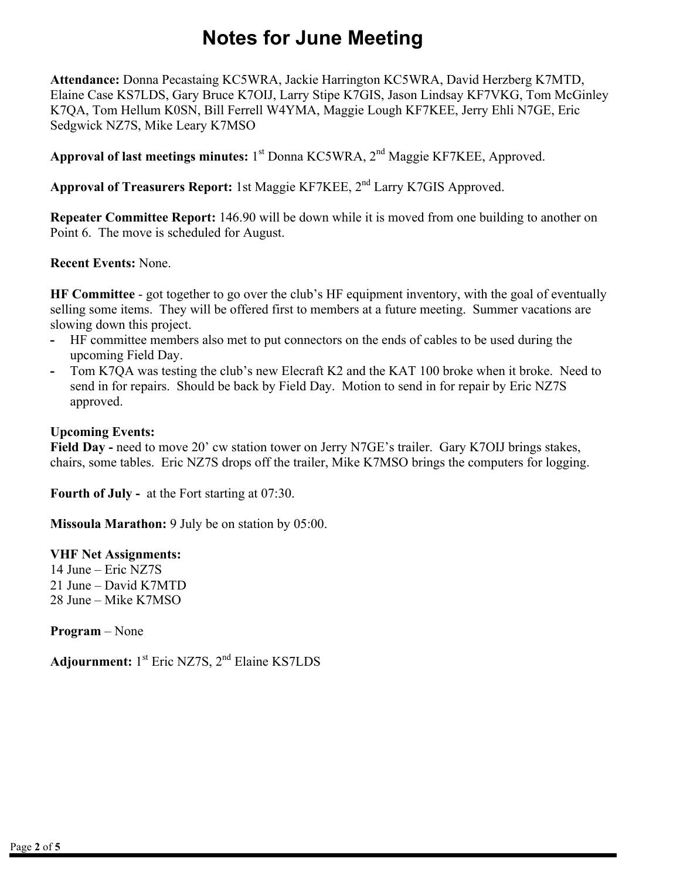# **Notes for June Meeting**

**Attendance:** Donna Pecastaing KC5WRA, Jackie Harrington KC5WRA, David Herzberg K7MTD, Elaine Case KS7LDS, Gary Bruce K7OIJ, Larry Stipe K7GIS, Jason Lindsay KF7VKG, Tom McGinley K7QA, Tom Hellum K0SN, Bill Ferrell W4YMA, Maggie Lough KF7KEE, Jerry Ehli N7GE, Eric Sedgwick NZ7S, Mike Leary K7MSO

Approval of last meetings minutes: 1<sup>st</sup> Donna KC5WRA, 2<sup>nd</sup> Maggie KF7KEE, Approved.

**Approval of Treasurers Report:** 1st Maggie KF7KEE, 2nd Larry K7GIS Approved.

**Repeater Committee Report:** 146.90 will be down while it is moved from one building to another on Point 6. The move is scheduled for August.

#### **Recent Events:** None.

**HF Committee** - got together to go over the club's HF equipment inventory, with the goal of eventually selling some items. They will be offered first to members at a future meeting. Summer vacations are slowing down this project.

- **-** HF committee members also met to put connectors on the ends of cables to be used during the upcoming Field Day.
- **-** Tom K7QA was testing the club's new Elecraft K2 and the KAT 100 broke when it broke. Need to send in for repairs. Should be back by Field Day. Motion to send in for repair by Eric NZ7S approved.

#### **Upcoming Events:**

Field Day - need to move 20' cw station tower on Jerry N7GE's trailer. Gary K7OIJ brings stakes, chairs, some tables. Eric NZ7S drops off the trailer, Mike K7MSO brings the computers for logging.

**Fourth of July -** at the Fort starting at 07:30.

**Missoula Marathon:** 9 July be on station by 05:00.

#### **VHF Net Assignments:**

14 June – Eric NZ7S 21 June – David K7MTD 28 June – Mike K7MSO

**Program** – None

Adjournment: 1<sup>st</sup> Eric NZ7S, 2<sup>nd</sup> Elaine KS7LDS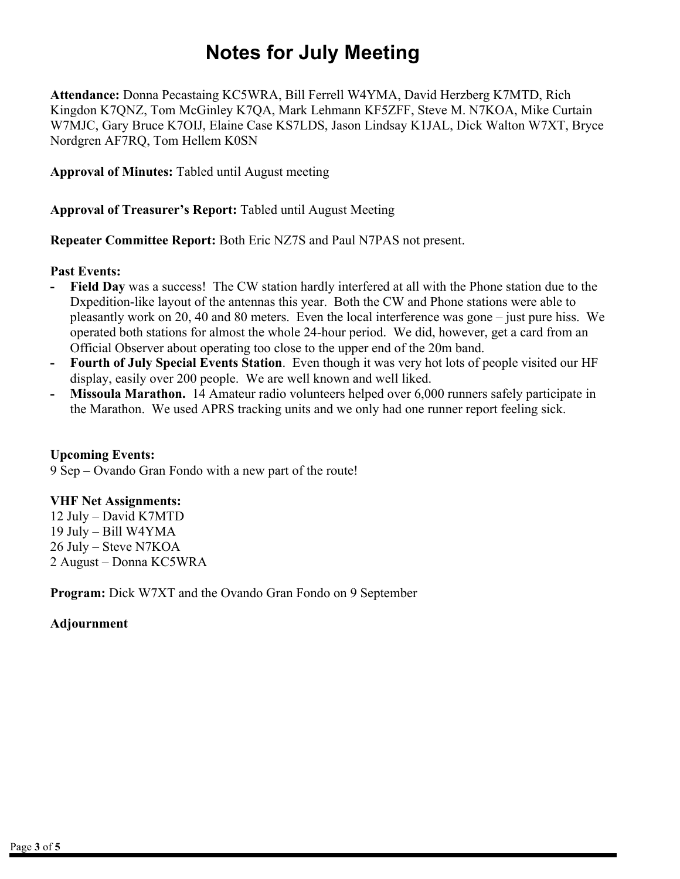# **Notes for July Meeting**

**Attendance:** Donna Pecastaing KC5WRA, Bill Ferrell W4YMA, David Herzberg K7MTD, Rich Kingdon K7QNZ, Tom McGinley K7QA, Mark Lehmann KF5ZFF, Steve M. N7KOA, Mike Curtain W7MJC, Gary Bruce K7OIJ, Elaine Case KS7LDS, Jason Lindsay K1JAL, Dick Walton W7XT, Bryce Nordgren AF7RQ, Tom Hellem K0SN

**Approval of Minutes:** Tabled until August meeting

**Approval of Treasurer's Report:** Tabled until August Meeting

**Repeater Committee Report:** Both Eric NZ7S and Paul N7PAS not present.

#### **Past Events:**

- **- Field Day** was a success! The CW station hardly interfered at all with the Phone station due to the Dxpedition-like layout of the antennas this year. Both the CW and Phone stations were able to pleasantly work on 20, 40 and 80 meters. Even the local interference was gone – just pure hiss. We operated both stations for almost the whole 24-hour period. We did, however, get a card from an Official Observer about operating too close to the upper end of the 20m band.
- **- Fourth of July Special Events Station**. Even though it was very hot lots of people visited our HF display, easily over 200 people. We are well known and well liked.
- **- Missoula Marathon.** 14 Amateur radio volunteers helped over 6,000 runners safely participate in the Marathon. We used APRS tracking units and we only had one runner report feeling sick.

#### **Upcoming Events:**

9 Sep – Ovando Gran Fondo with a new part of the route!

#### **VHF Net Assignments:**

12 July – David K7MTD 19 July – Bill W4YMA 26 July – Steve N7KOA 2 August – Donna KC5WRA

**Program:** Dick W7XT and the Ovando Gran Fondo on 9 September

#### **Adjournment**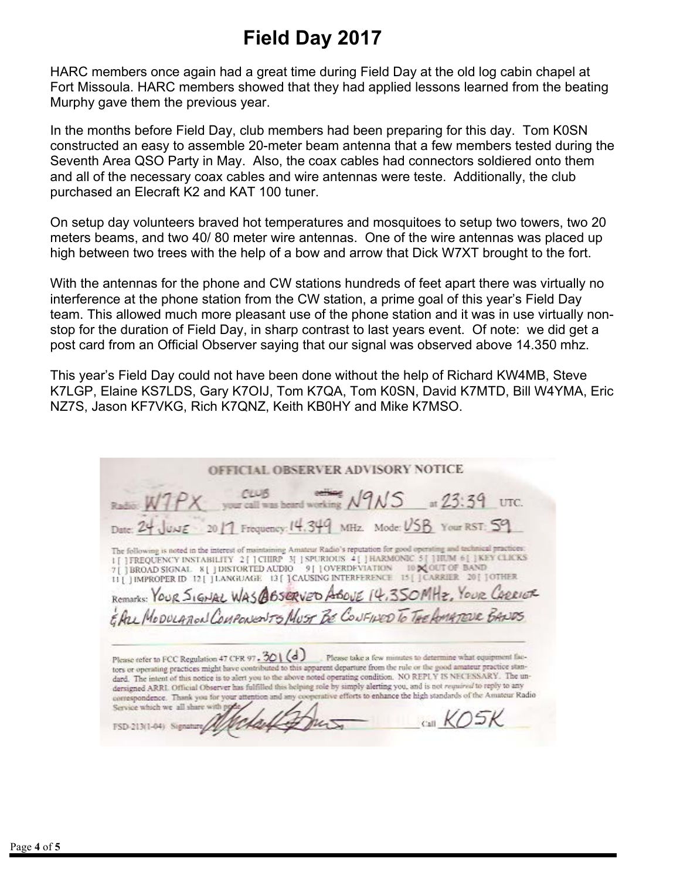# **Field Day 2017**

HARC members once again had a great time during Field Day at the old log cabin chapel at Fort Missoula. HARC members showed that they had applied lessons learned from the beating Murphy gave them the previous year.

In the months before Field Day, club members had been preparing for this day. Tom K0SN constructed an easy to assemble 20-meter beam antenna that a few members tested during the Seventh Area QSO Party in May. Also, the coax cables had connectors soldiered onto them and all of the necessary coax cables and wire antennas were teste. Additionally, the club purchased an Elecraft K2 and KAT 100 tuner.

On setup day volunteers braved hot temperatures and mosquitoes to setup two towers, two 20 meters beams, and two 40/ 80 meter wire antennas. One of the wire antennas was placed up high between two trees with the help of a bow and arrow that Dick W7XT brought to the fort.

With the antennas for the phone and CW stations hundreds of feet apart there was virtually no interference at the phone station from the CW station, a prime goal of this year's Field Day team. This allowed much more pleasant use of the phone station and it was in use virtually nonstop for the duration of Field Day, in sharp contrast to last years event. Of note: we did get a post card from an Official Observer saying that our signal was observed above 14.350 mhz.

This year's Field Day could not have been done without the help of Richard KW4MB, Steve K7LGP, Elaine KS7LDS, Gary K7OIJ, Tom K7QA, Tom K0SN, David K7MTD, Bill W4YMA, Eric NZ7S, Jason KF7VKG, Rich K7QNZ, Keith KB0HY and Mike K7MSO.

| OFFICIAL OBSERVER ADVISORY NOTICE                                                                                                                                                                                                                                                                                                                                                                                                                                                                                                                                                                                                                                                                                               |
|---------------------------------------------------------------------------------------------------------------------------------------------------------------------------------------------------------------------------------------------------------------------------------------------------------------------------------------------------------------------------------------------------------------------------------------------------------------------------------------------------------------------------------------------------------------------------------------------------------------------------------------------------------------------------------------------------------------------------------|
| Radio W1PX your call was heard working N9NS at 23:39 UTC.                                                                                                                                                                                                                                                                                                                                                                                                                                                                                                                                                                                                                                                                       |
| Date: 24 JUNE 2017 Frequency: 14.349 MHz. Mode: USB Your RST: 59                                                                                                                                                                                                                                                                                                                                                                                                                                                                                                                                                                                                                                                                |
| The following is noted in the interest of maintaining Amateur Radio's reputation for good operating and technical practices.<br>1 [ ] FREQUENCY INSTABILITY 2 [ ] CHIRP 3   SPURIOUS 4 [ ] HARMONIC 5   ] HUM 6 [ ] KEY CLICKS<br>7 [ ] BROAD SIGNAL 8 [ ] DISTORTED AUDIO 9 [ ] OVERDEVIATION 10 X OUT OF BAND<br>11 [ ] IMPROPER ID 12 [ ] LANGUAGE 13 [ ] CAUSING INTERFERENCE 15 [ ] CARRIER 20 [ ] OTHER<br>Remarks: YOUR SIGNAL WAS @BSERVED ABOVE 14,350 MHZ, YOUR CARRIER<br>EAU MODULARON CONPONENTS MUST BE CONFINED TO THE AMATEUR BANDS                                                                                                                                                                             |
| Please refer to FCC Regulation 47 CFR 97, $301(d)$ Please take a few minutes to determine what equipment fac-<br>tors or operating practices might have contributed to this apparent departure from the rule or the good amateur practice stan-<br>dard. The intent of this notice is to alert you to the above noted operating condition. NO REPLY IS NECESSARY. The un-<br>dersigned ARRI. Official Observer has fulfilled this belowg role by simply alerting you, and is not required to reply to any<br>correspondence. Thank you for your attention and any cooperative efforts to enhance the high standards of the Amateur Radio<br>Service which we all share with pode<br>$C$ $K$ $O$ $5K$<br>FSD-213(1-04) Signature |